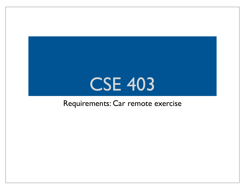## CSE 403

#### Requirements: Car remote exercise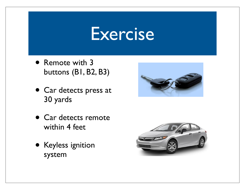#### **Exercise**

- Remote with 3 buttons (B1, B2, B3)
- Car detects press at 30 yards
- Car detects remote within 4 feet
- Keyless ignition system



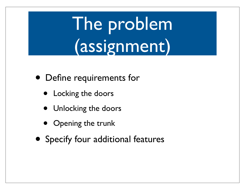The problem (assignment)

- Define requirements for
	- Locking the doors
	- Unlocking the doors
	- Opening the trunk
- Specify four additional features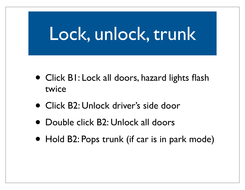# Lock, unlock, trunk

- Click B1: Lock all doors, hazard lights flash twice
- Click B2: Unlock driver's side door
- Double click B2: Unlock all doors
- Hold B2: Pops trunk (if car is in park mode)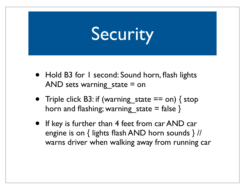# Security

- Hold B3 for I second: Sound horn, flash lights AND sets warning state  $=$  on
- Triple click B3: if (warning state  $==$  on) { stop horn and flashing; warning state  $=$  false  $\}$
- If key is further than 4 feet from car AND car engine is on { lights flash AND horn sounds } // warns driver when walking away from running car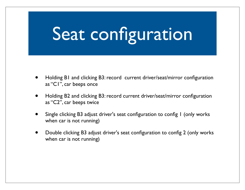# Seat configuration

- Holding B1 and clicking B3: record current driver/seat/mirror configuration as "C1", car beeps once
- Holding B2 and clicking B3: record current driver/seat/mirror configuration as "C2", car beeps twice
- Single clicking B3 adjust driver's seat configuration to config I (only works when car is not running)
- Double clicking B3 adjust driver's seat configuration to config 2 (only works when car is not running)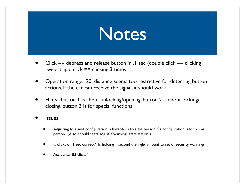

- Click  $==$  depress and release button in  $\Lambda$  sec (double click  $==$  clicking twice, triple click  $==$  clicking 3 times
- Operation range: 20' distance seems too restrictive for detecting button actions. If the car can receive the signal, it should work
- Hints: button 1 is about unlocking/opening, button 2 is about locking/ closing, button 3 is for special functions
- Issues:
	- Adjusting to a seat configuration is hazardous to a tall person if a configuration is for a small person. (Also, should seats adjust if warning state  $==$  on?)
	- Is clicks of .1 sec correct? Is holding 1 second the right amount to set of security warning?
	- Accidental B3 clicks?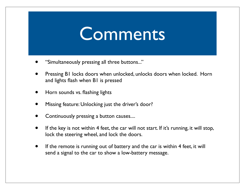#### **Comments**

- "Simultaneously pressing all three buttons..."
- Pressing B1 locks doors when unlocked, unlocks doors when locked. Horn and lights flash when B1 is pressed
- Horn sounds vs. flashing lights
- Missing feature: Unlocking just the driver's door?
- Continuously pressing a button causes....
- If the key is not within 4 feet, the car will not start. If it's running, it will stop, lock the steering wheel, and lock the doors.
- If the remote is running out of battery and the car is within 4 feet, it will send a signal to the car to show a low-battery message.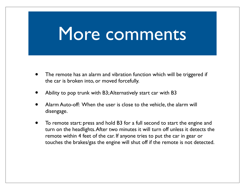### More comments

- The remote has an alarm and vibration function which will be triggered if the car is broken into, or moved forcefully.
- Ability to pop trunk with B3; Alternatively start car with B3
- Alarm Auto-off: When the user is close to the vehicle, the alarm will disengage.
- To remote start: press and hold B3 for a full second to start the engine and turn on the headlights. After two minutes it will turn off unless it detects the remote within 4 feet of the car. If anyone tries to put the car in gear or touches the brakes/gas the engine will shut off if the remote is not detected.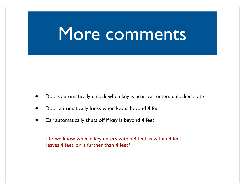#### More comments

- Doors automatically unlock when key is near; car enters unlocked state
- Door automatically locks when key is beyond 4 feet
- Car automatically shuts off if key is beyond 4 feet

Do we know when a key enters within 4 feet, is within 4 feet, leaves 4 feet, or is further than 4 feet?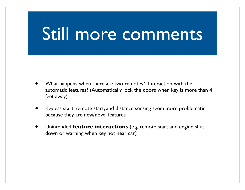## Still more comments

- What happens when there are two remotes? Interaction with the automatic features? (Automatically lock the doors when key is more than 4 feet away)
- Keyless start, remote start, and distance sensing seem more problematic because they are new/novel features
- Unintended **feature interactions** (e.g. remote start and engine shut down or warning when key not near car)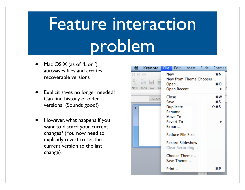# Feature interaction problem

- Mac OS  $X$  (as of "Lion") autosaves files and creates recoverable versions
- Explicit saves no longer needed! Can find history of older versions (Sounds good!)
- However, what happens if you want to discard your current changes? (You now need to explicitly revert to set the current version to the last change)

| Keynote                                   | <b>File</b>                                                                                         |                                                                     | Edit Insert Slide      |  | Format                 |
|-------------------------------------------|-----------------------------------------------------------------------------------------------------|---------------------------------------------------------------------|------------------------|--|------------------------|
| <b>NH</b><br>Open Save Prin<br><b>New</b> | New                                                                                                 | Open<br><b>Open Recent</b>                                          | New from Theme Chooser |  | жN<br>жO               |
| Slides<br>1                               | Close<br>Save                                                                                       | <b>Duplicate</b><br>Rename<br>Move To<br><b>Revert To</b><br>Export |                        |  | жw<br>ଞS<br><b>介出S</b> |
|                                           | <b>Reduce File Size</b><br><b>Record Slideshow</b><br>Clear Recording<br>Choose Theme<br>Save Theme |                                                                     |                        |  |                        |
|                                           |                                                                                                     | Print                                                               |                        |  | æР                     |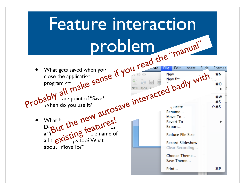